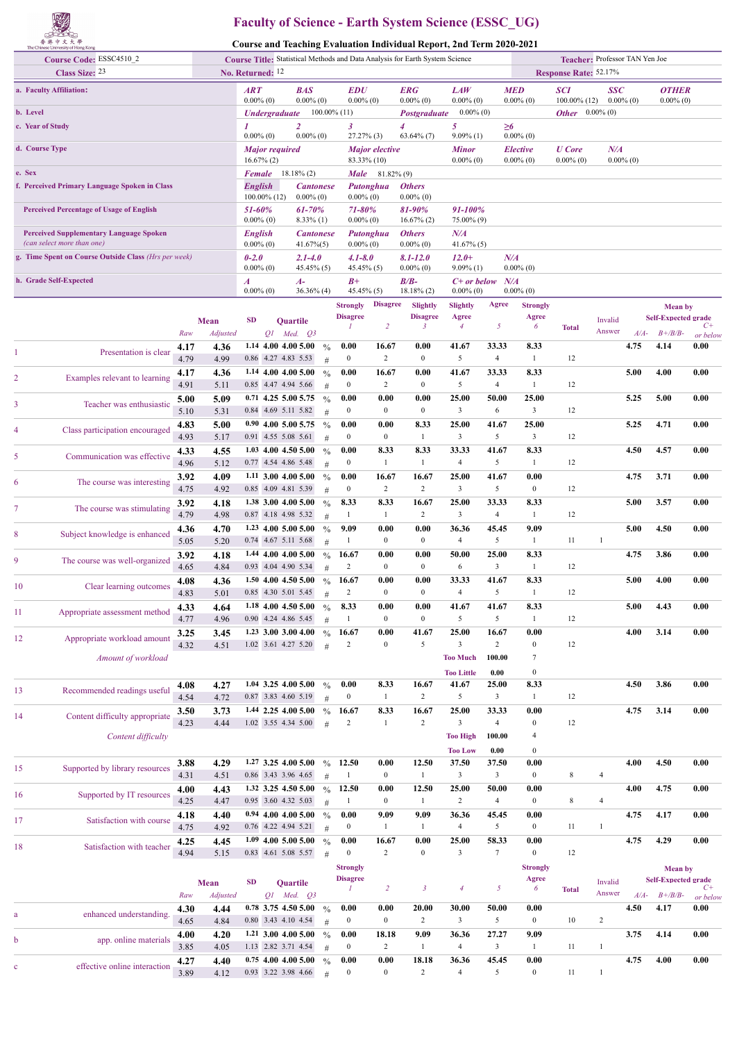

## **Faculty of Science - Earth System Science (ESSC\_UG)**

**Course and Teaching Evaluation Individual Report, 2nd Term 2020-2021**

| Course Code: ESSC4510_2<br><b>Class Size: 23</b>     |                                                                              |              |                  | Course Title: Statistical Methods and Data Analysis for Earth System Science<br>No. Returned: 12 |                             |                                                     |                        |                                    |                                          |                                                | Teacher: Professor TAN Yen Joe<br>Response Rate: 52.17% |                          |                                 |                               |                            |        |                                              |                  |
|------------------------------------------------------|------------------------------------------------------------------------------|--------------|------------------|--------------------------------------------------------------------------------------------------|-----------------------------|-----------------------------------------------------|------------------------|------------------------------------|------------------------------------------|------------------------------------------------|---------------------------------------------------------|--------------------------|---------------------------------|-------------------------------|----------------------------|--------|----------------------------------------------|------------------|
|                                                      | a. Faculty Affiliation:                                                      |              |                  | <b>ART</b><br>$0.00\%$ (0)                                                                       |                             | <b>BAS</b><br>$0.00\%$ (0)                          |                        | <b>EDU</b><br>$0.00\%$ (0)         |                                          | <b>ERG</b><br>$0.00\%$ (0)                     | <b>LAW</b><br>$0.00\%$ (0)                              |                          | <b>MED</b><br>$0.00\%$ (0)      | <b>SCI</b><br>$100.00\%$ (12) | <b>SSC</b><br>$0.00\%$ (0) |        | <b>OTHER</b><br>$0.00\%$ (0)                 |                  |
| b. Level                                             |                                                                              |              |                  |                                                                                                  | <b><i>Undergraduate</i></b> |                                                     |                        | $100.00\%$ (11)                    |                                          | Postgraduate                                   | $0.00\%$ (0)                                            |                          |                                 | <b>Other</b> $0.00\%$ (0)     |                            |        |                                              |                  |
| c. Year of Study                                     |                                                                              |              |                  |                                                                                                  |                             | $\overline{c}$                                      |                        | 3                                  |                                          | 4                                              | 5.                                                      |                          | $\geq 6$                        |                               |                            |        |                                              |                  |
| d. Course Type                                       |                                                                              |              |                  | $0.00\%$ (0)                                                                                     | <b>Major required</b>       | $0.00\%$ (0)                                        |                        | $27.27\%$ (3)                      | <b>Major</b> elective                    | $63.64\%$ (7)                                  | $9.09\%$ (1)<br><b>Minor</b>                            |                          | $0.00\%$ (0)<br><b>Elective</b> | <b>U</b> Core                 | N/A                        |        |                                              |                  |
| e. Sex                                               |                                                                              |              |                  | <b>Female</b>                                                                                    | $16.67\% (2)$               | $18.18\%$ (2)                                       |                        |                                    | 83.33% (10)<br><b>Male</b> $81.82\%$ (9) |                                                | $0.00\%$ (0)                                            |                          | $0.00\%$ (0)                    | $0.00\%$ (0)                  | $0.00\%$ (0)               |        |                                              |                  |
|                                                      | f. Perceived Primary Language Spoken in Class                                |              |                  | <b>English</b>                                                                                   |                             | <b>Cantonese</b>                                    |                        |                                    | Putonghua                                | <b>Others</b>                                  |                                                         |                          |                                 |                               |                            |        |                                              |                  |
| <b>Perceived Percentage of Usage of English</b>      |                                                                              |              | 51-60%           | $100.00\%$ (12)                                                                                  | $0.00\%$ (0)<br>61-70%      |                                                     | $0.00\%$ (0)<br>71-80% |                                    | $0.00\%$ (0)<br>81-90%                   | 91-100%                                        |                                                         |                          |                                 |                               |                            |        |                                              |                  |
|                                                      | <b>Perceived Supplementary Language Spoken</b><br>(can select more than one) |              |                  | $0.00\%$ (0)<br><b>English</b><br>$0.00\%$ (0)                                                   |                             | $8.33\%$ (1)<br><b>Cantonese</b><br>$41.67\%$ $(5)$ |                        | $0.00\%$ (0)<br>$0.00\%$ (0)       | Putonghua                                | $16.67\%$ (2)<br><b>Others</b><br>$0.00\%$ (0) | 75.00% (9)<br>N/A<br>$41.67\%$ (5)                      |                          |                                 |                               |                            |        |                                              |                  |
| g. Time Spent on Course Outside Class (Hrs per week) |                                                                              |              |                  | $0 - 2.0$                                                                                        |                             | $2.1 - 4.0$                                         |                        | $4.1 - 8.0$                        |                                          | $8.1 - 12.0$                                   | $12.0+$                                                 |                          | N/A                             |                               |                            |        |                                              |                  |
|                                                      | h. Grade Self-Expected                                                       |              |                  | $0.00\%$ (0)<br>$\boldsymbol{A}$                                                                 |                             | $45.45\%$ (5)<br>$A-$                               |                        | $45.45\%$ (5)<br>$B+$              |                                          | $0.00\%$ (0)<br>$B/B-$                         | $9.09\%$ (1)<br>$C+$ or below                           |                          | $0.00\%$ (0)<br>N/A             |                               |                            |        |                                              |                  |
|                                                      |                                                                              |              |                  | $0.00\%$ (0)                                                                                     |                             | $36.36\%$ (4)                                       |                        | 45.45% (5)                         |                                          | $18.18\%$ (2)                                  | $0.00\%$ (0)                                            |                          | $0.00\%$ (0)                    |                               |                            |        |                                              |                  |
|                                                      |                                                                              |              |                  |                                                                                                  |                             |                                                     |                        | <b>Strongly</b><br><b>Disagree</b> | <b>Disagree</b>                          | Slightly<br><b>Disagree</b>                    | <b>Slightly</b><br>Agree                                | Agree                    | <b>Strongly</b><br>Agree        |                               |                            |        | <b>Mean</b> by<br><b>Self-Expected grade</b> |                  |
|                                                      |                                                                              | Raw          | Mean<br>Adjusted | <b>SD</b>                                                                                        |                             | <b>Ouartile</b><br>$Q1$ Med. $Q3$                   |                        |                                    | $\overline{2}$                           | 3                                              | $\overline{4}$                                          | 5                        | 6                               | <b>Total</b>                  | Invalid<br>Answer          | $A/A-$ | $B + /B/B$ -                                 | $C+$<br>or below |
| 1                                                    | Presentation is clear                                                        | 4.17         | 4.36             |                                                                                                  |                             | $1.14$ 4.00 4.00 5.00                               | $\frac{0}{0}$          | 0.00                               | 16.67                                    | 0.00                                           | 41.67                                                   | 33.33                    | 8.33                            |                               |                            | 4.75   | 4.14                                         | 0.00             |
|                                                      |                                                                              | 4.79<br>4.17 | 4.99<br>4.36     |                                                                                                  | 0.86 4.27 4.83 5.53         | 1.14 4.00 4.00 5.00                                 | #<br>$\frac{0}{0}$     | $\boldsymbol{0}$<br>0.00           | 2<br>16.67                               | $\bf{0}$<br>0.00                               | 5<br>41.67                                              | $\overline{4}$<br>33.33  | 1<br>8.33                       | 12                            |                            | 5.00   | 4.00                                         | 0.00             |
| 2                                                    | Examples relevant to learning                                                | 4.91         | 5.11             |                                                                                                  | 0.85 4.47 4.94 5.66         |                                                     | #                      | $\overline{0}$                     | 2                                        | $\bf{0}$                                       | 5                                                       | $\overline{4}$           | 1                               | 12                            |                            |        |                                              |                  |
| 3                                                    | Teacher was enthusiastic                                                     | 5.00         | 5.09             |                                                                                                  |                             | $0.71$ 4.25 5.00 5.75                               | $\frac{0}{0}$          | 0.00                               | 0.00                                     | 0.00                                           | 25.00                                                   | 50.00                    | 25.00                           |                               |                            | 5.25   | 5.00                                         | 0.00             |
|                                                      |                                                                              | 5.10<br>4.83 | 5.31<br>5.00     |                                                                                                  | 0.84 4.69 5.11 5.82         | $0.90$ 4.00 5.00 5.75                               | #<br>$\frac{0}{0}$     | $\overline{0}$<br>0.00             | $\boldsymbol{0}$<br>0.00                 | $\bf{0}$<br>8.33                               | $\mathbf{3}$<br>25.00                                   | 6<br>41.67               | $\mathbf{3}$<br>25.00           | 12                            |                            | 5.25   | 4.71                                         | 0.00             |
| 4                                                    | Class participation encouraged                                               | 4.93         | 5.17             |                                                                                                  | 0.91 4.55 5.08 5.61         |                                                     | #                      | $\boldsymbol{0}$                   | $\boldsymbol{0}$                         | 1                                              | $\mathbf{3}$                                            | 5                        | $\mathbf{3}$                    | 12                            |                            |        |                                              |                  |
| 5                                                    | Communication was effective                                                  | 4.33<br>4.96 | 4.55<br>5.12     |                                                                                                  | 0.77 4.54 4.86 5.48         | $1.03$ 4.00 4.50 5.00                               | $\frac{0}{0}$<br>#     | 0.00<br>$\boldsymbol{0}$           | 8.33<br>-1                               | 8.33<br>1                                      | 33.33<br>$\overline{4}$                                 | 41.67<br>5               | 8.33<br>-1                      | 12                            |                            | 4.50   | 4.57                                         | 0.00             |
| 6                                                    | The course was interesting                                                   | 3.92<br>4.75 | 4.09<br>4.92     |                                                                                                  | 0.85 4.09 4.81 5.39         | $1.11$ 3.00 4.00 5.00                               | $\frac{0}{0}$<br>#     | 0.00<br>$\mathbf{0}$               | 16.67<br>$\overline{c}$                  | 16.67<br>$\boldsymbol{2}$                      | 25.00<br>$\mathbf{3}$                                   | 41.67<br>5               | 0.00<br>$\bf{0}$                | 12                            |                            | 4.75   | 3.71                                         | 0.00             |
| 7                                                    | The course was stimulating                                                   | 3.92<br>4.79 | 4.18<br>4.98     |                                                                                                  | 0.87 4.18 4.98 5.32         | 1.38 3.00 4.00 5.00                                 | $\frac{0}{0}$<br>#     | 8.33<br>-1                         | 8.33<br>-1                               | 16.67<br>$\overline{2}$                        | 25.00<br>$\mathbf{3}$                                   | 33.33<br>$\overline{4}$  | 8.33<br>-1                      | 12                            |                            | 5.00   | 3.57                                         | 0.00             |
| 8                                                    | Subject knowledge is enhanced                                                | 4.36         | 4.70             |                                                                                                  |                             | 1.23 4.00 5.00 5.00                                 | $\frac{0}{0}$          | 9.09                               | 0.00                                     | 0.00                                           | 36.36                                                   | 45.45                    | 9.09                            |                               |                            | 5.00   | 4.50                                         | 0.00             |
|                                                      |                                                                              | 5.05<br>3.92 | 5.20<br>4.18     |                                                                                                  | 0.74 4.67 5.11 5.68         | 1.44 4.00 4.00 5.00                                 | #<br>$\%$              | -1<br>16.67                        | $\boldsymbol{0}$<br>0.00                 | $\bf{0}$<br>0.00                               | $\overline{4}$<br>50.00                                 | 5<br>25.00               | -1<br>8.33                      | 11                            | 1                          | 4.75   | 3.86                                         | 0.00             |
| 9                                                    | The course was well-organized                                                | 4.65         | 4.84             |                                                                                                  | 0.93 4.04 4.90 5.34         |                                                     | #                      | 2                                  | $\boldsymbol{0}$                         | $\bf{0}$                                       | 6                                                       | $\overline{\mathbf{3}}$  | -1                              | 12                            |                            |        |                                              |                  |
| 10                                                   | Clear learning outcomes                                                      | 4.08<br>4.83 | 4.36<br>5.01     |                                                                                                  | 0.85 4.30 5.01 5.45         | 1.50 4.00 4.50 5.00                                 | $\frac{0}{0}$<br>#     | 16.67<br>2                         | 0.00<br>$\mathbf{0}$                     | 0.00<br>$\boldsymbol{0}$                       | 33.33<br>$\overline{4}$                                 | 41.67<br>5               | 8.33<br>1                       | 12                            |                            | 5.00   | 4.00                                         | 0.00             |
|                                                      |                                                                              | 4.33         | 4.64             |                                                                                                  |                             | 1.18 4.00 4.50 5.00                                 | $\%$                   | 8.33                               | 0.00                                     | 0.00                                           | 41.67                                                   | 41.67                    | 8.33                            |                               |                            | 5.00   | 4.43                                         | 0.00             |
| 11                                                   | Appropriate assessment method                                                | 4.77         | 4.96             |                                                                                                  | 0.90 4.24 4.86 5.45         |                                                     | #                      | $\mathbf{1}$                       | $\bf{0}$                                 | $\boldsymbol{0}$                               | 5                                                       | 5                        | 1                               | 12                            |                            |        |                                              |                  |
| 12                                                   | Appropriate workload amount                                                  | 3.25<br>4.32 | 3.45<br>4.51     |                                                                                                  | 1.02 3.61 4.27 5.20         | 1.23 3.00 3.00 4.00                                 | $\frac{0}{0}$<br>#     | 16.67<br>2                         | 0.00<br>$\boldsymbol{0}$                 | 41.67<br>5                                     | 25.00<br>$\mathbf{3}$                                   | 16.67<br>$\overline{2}$  | 0.00<br>$\boldsymbol{0}$        | 12                            |                            | 4.00   | 3.14                                         | 0.00             |
|                                                      | Amount of workload                                                           |              |                  |                                                                                                  |                             |                                                     |                        |                                    |                                          |                                                | <b>Too Much</b>                                         | 100.00                   | 7                               |                               |                            |        |                                              |                  |
|                                                      |                                                                              | 4.08         | 4.27             |                                                                                                  |                             | 1.04 3.25 4.00 5.00                                 | $\frac{0}{0}$          | 0.00                               | 8.33                                     | 16.67                                          | <b>Too Little</b><br>41.67                              | 0.00<br>25.00            | $\boldsymbol{0}$<br>8.33        |                               |                            | 4.50   | 3.86                                         | 0.00             |
| 13                                                   | Recommended readings useful                                                  | 4.54         | 4.72             |                                                                                                  | 0.87 3.83 4.60 5.19         |                                                     | #                      | $\boldsymbol{0}$                   | 1                                        | $\boldsymbol{2}$                               | 5                                                       | $\overline{\mathbf{3}}$  | -1                              | 12                            |                            |        |                                              |                  |
| 14                                                   | Content difficulty appropriate                                               | 3.50         | 3.73             |                                                                                                  |                             | 1.44 2.25 4.00 5.00                                 | $\frac{0}{0}$          | 16.67                              | 8.33                                     | 16.67                                          | 25.00                                                   | 33.33                    | 0.00                            |                               |                            | 4.75   | 3.14                                         | 0.00             |
|                                                      | Content difficulty                                                           | 4.23         | 4.44             |                                                                                                  | 1.02 3.55 4.34 5.00         |                                                     | #                      | $\overline{c}$                     | $\mathbf{1}$                             | $\overline{c}$                                 | $\mathfrak{Z}$<br><b>Too High</b>                       | $\overline{4}$<br>100.00 | $\boldsymbol{0}$<br>4           | 12                            |                            |        |                                              |                  |
|                                                      |                                                                              |              |                  |                                                                                                  |                             |                                                     |                        |                                    |                                          |                                                | <b>Too Low</b>                                          | 0.00                     | $\boldsymbol{0}$                |                               |                            |        |                                              |                  |
| 15                                                   | Supported by library resources                                               | 3.88         | 4.29             |                                                                                                  | 0.86 3.43 3.96 4.65         | 1.27 3.25 4.00 5.00                                 | $\frac{0}{0}$          | 12.50<br>-1                        | 0.00<br>$\boldsymbol{0}$                 | 12.50<br>1                                     | 37.50<br>$\mathfrak{Z}$                                 | 37.50<br>$\mathbf{3}$    | 0.00<br>$\boldsymbol{0}$        | 8                             | $\overline{4}$             | 4.00   | 4.50                                         | 0.00             |
| 16                                                   | Supported by IT resources                                                    | 4.31<br>4.00 | 4.51<br>4.43     |                                                                                                  |                             | 1.32 3.25 4.50 5.00                                 | #<br>$\frac{0}{0}$     | 12.50                              | 0.00                                     | 12.50                                          | 25.00                                                   | 50.00                    | 0.00                            |                               |                            | 4.00   | 4.75                                         | 0.00             |
|                                                      |                                                                              | 4.25         | 4.47             |                                                                                                  | 0.95 3.60 4.32 5.03         |                                                     | #                      | -1                                 | $\boldsymbol{0}$                         | $\mathbf{1}$                                   | $\overline{c}$                                          | $\overline{4}$           | $\boldsymbol{0}$                | 8                             | $\overline{4}$             |        |                                              |                  |
| 17                                                   | Satisfaction with course                                                     | 4.18<br>4.75 | 4.40<br>4.92     |                                                                                                  | 0.76 4.22 4.94 5.21         | $0.94$ 4.00 4.00 5.00                               | $\frac{0}{0}$<br>#     | 0.00<br>$\bf{0}$                   | 9.09<br>1                                | 9.09<br>1                                      | 36.36<br>$\overline{4}$                                 | 45.45<br>5               | 0.00<br>$\boldsymbol{0}$        | 11                            | $\mathbf{1}$               | 4.75   | 4.17                                         | 0.00             |
| 18                                                   | Satisfaction with teacher                                                    | 4.25         | 4.45             |                                                                                                  |                             | 1.09 4.00 5.00 5.00                                 | $\frac{0}{0}$          | 0.00                               | 16.67                                    | 0.00                                           | 25.00                                                   | 58.33                    | 0.00                            |                               |                            | 4.75   | 4.29                                         | 0.00             |
|                                                      |                                                                              | 4.94         | 5.15             |                                                                                                  | 0.83 4.61 5.08 5.57         |                                                     | #                      | $\mathbf{0}$<br><b>Strongly</b>    | 2                                        | $\boldsymbol{0}$                               | $\mathbf{3}$                                            | $\tau$                   | $\mathbf{0}$<br><b>Strongly</b> | 12                            |                            |        |                                              |                  |
|                                                      |                                                                              |              | <b>Mean</b>      | <b>SD</b>                                                                                        |                             | Quartile                                            |                        | <b>Disagree</b>                    |                                          |                                                |                                                         |                          | Agree                           |                               | Invalid                    |        | <b>Mean</b> by<br><b>Self-Expected grade</b> |                  |
|                                                      |                                                                              | Raw          | Adjusted         |                                                                                                  |                             | $Q1$ Med. $Q3$                                      |                        | $\mathcal{I}$                      | $\overline{2}$                           | $\mathfrak{z}$                                 | $\overline{4}$                                          | 5                        | 6                               | <b>Total</b>                  | Answer                     | $A/A-$ | $B + \frac{B}{B}$                            | $C+$<br>or below |
| a                                                    | enhanced understanding.                                                      | 4.30<br>4.65 | 4.44<br>4.84     |                                                                                                  | 0.80 3.43 4.10 4.54         | 0.78 3.75 4.50 5.00                                 | $\frac{0}{0}$<br>#     | 0.00<br>$\boldsymbol{0}$           | 0.00<br>$\boldsymbol{0}$                 | 20.00<br>$\boldsymbol{2}$                      | 30.00<br>$\mathbf{3}$                                   | 50.00<br>5               | 0.00<br>$\boldsymbol{0}$        | 10                            | 2                          | 4.50   | 4.17                                         | 0.00             |
|                                                      |                                                                              | 4.00         | 4.20             |                                                                                                  |                             | $1.21$ 3.00 4.00 5.00                               | $\frac{0}{0}$          | 0.00                               | 18.18                                    | 9.09                                           | 36.36                                                   | 27.27                    | 9.09                            |                               |                            | 3.75   | 4.14                                         | 0.00             |
| b                                                    | app. online materials                                                        | 3.85         | 4.05             |                                                                                                  |                             | 1.13 2.82 3.71 4.54                                 | #                      | $\boldsymbol{0}$                   | 2                                        | 1                                              | $\overline{4}$                                          | $\overline{\mathbf{3}}$  | $\mathbf{1}$                    | 11                            | $\mathbf{1}$               |        |                                              |                  |
| c                                                    | effective online interaction                                                 | 4.27<br>3.89 | 4.40<br>4.12     |                                                                                                  | 0.93 3.22 3.98 4.66         | $0.75$ 4.00 4.00 5.00                               | $\%$<br>#              | 0.00<br>$\boldsymbol{0}$           | 0.00<br>$\boldsymbol{0}$                 | 18.18<br>$\overline{c}$                        | 36.36<br>$\overline{4}$                                 | 45.45<br>5               | 0.00<br>$\boldsymbol{0}$        | 11                            | $\mathbf{1}$               | 4.75   | 4.00                                         | 0.00             |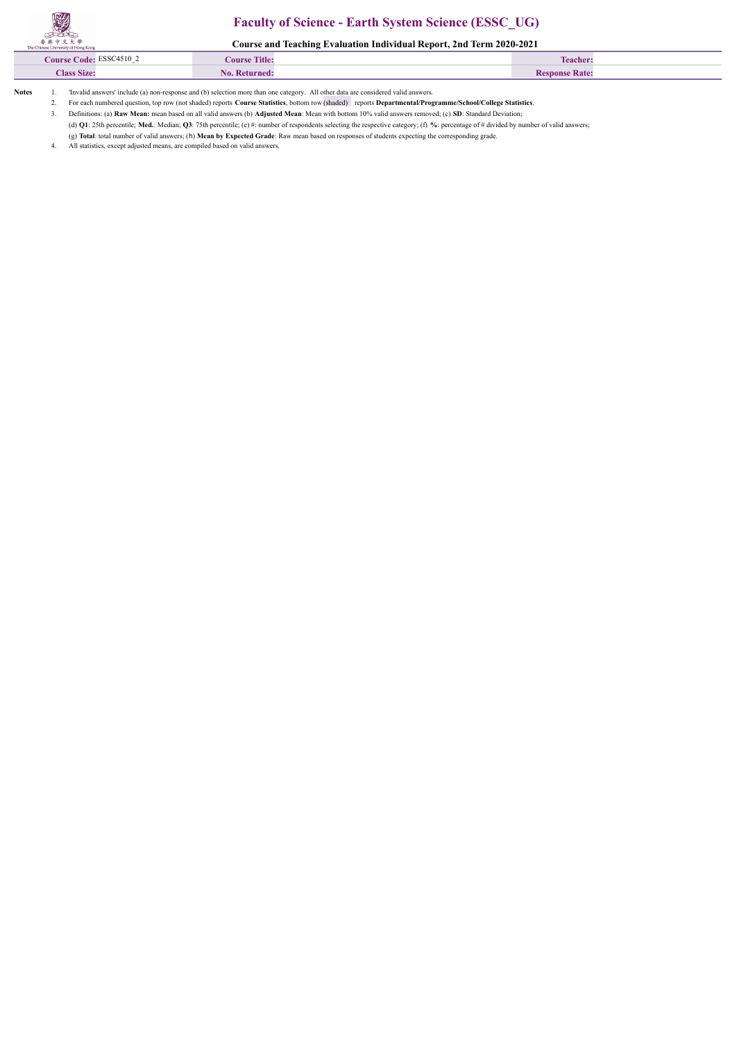## **Faculty of Science - Earth System Science (ESSC\_UG)**

**Course and Teaching Evaluation Individual Report, 2nd Term 2020-2021**

| C4510<br>Course Code: | <b>Course Title:</b> | Teacher. |  |
|-----------------------|----------------------|----------|--|
| lass Size:<br>$\sim$  |                      | $\n  n$  |  |
|                       |                      |          |  |

**Notes** 1. 'Invalid answers' include (a) non-response and (b) selection more than one category. All other data are considered valid answers.

2. For each numbered question, top row (not shaded) reports **Course Statistics**, bottom row (shaded) reports **Departmental/Programme/School/College Statistics**.

3. Definitions: (a) **Raw Mean:** mean based on all valid answers (b) **Adjusted Mean**: Mean with bottom 10% valid answers removed; (c) **SD**: Standard Deviation;

(d) **Q1**: 25th percentile; **Med.**: Median; **Q3**: 75th percentile; (e) #: number of respondents selecting the respective category; (f) **%**: percentage of # divided by number of valid answers;

(g) **Total**: total number of valid answers; (h) **Mean by Expected Grade**: Raw mean based on responses of students expecting the corresponding grade.

All statistics, except adjusted means, are compiled based on valid answers.